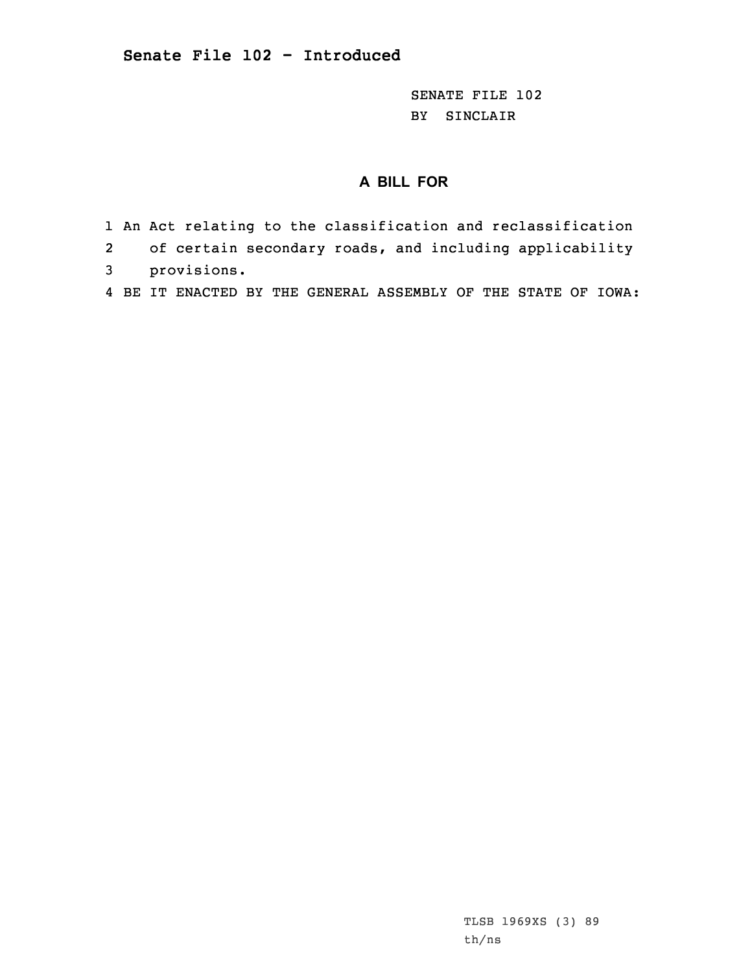SENATE FILE 102 BY SINCLAIR

## **A BILL FOR**

- 1 An Act relating to the classification and reclassification
- 2of certain secondary roads, and including applicability
- 3 provisions.
- 4 BE IT ENACTED BY THE GENERAL ASSEMBLY OF THE STATE OF IOWA: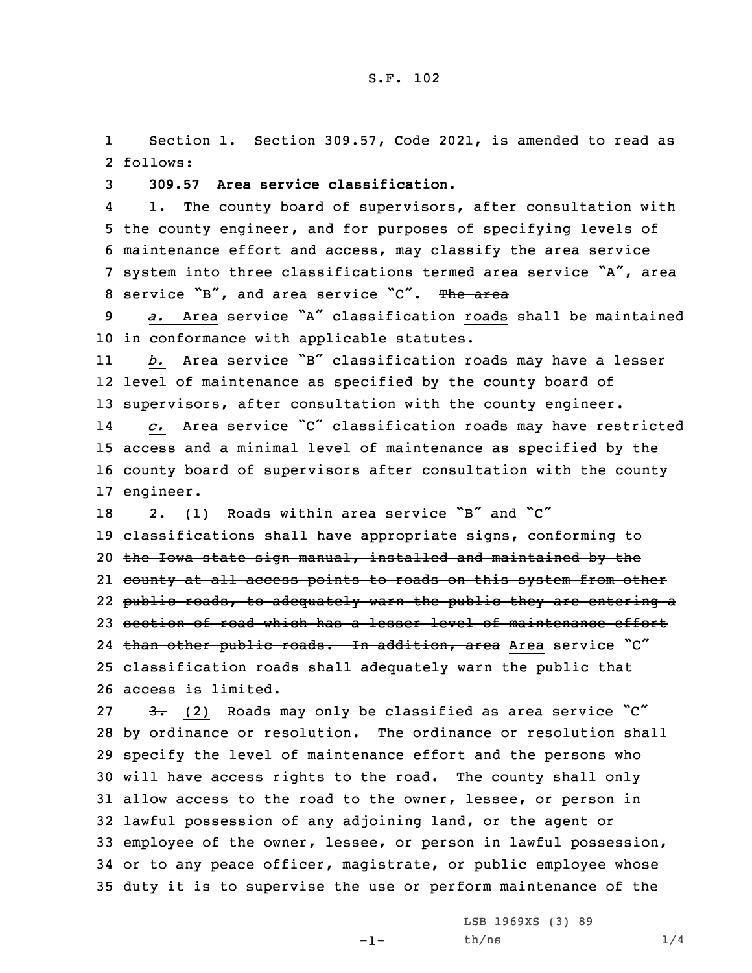1 Section 1. Section 309.57, Code 2021, is amended to read as 2 follows:

3 **309.57 Area service classification.**

4 1. The county board of supervisors, after consultation with 5 the county engineer, and for purposes of specifying levels of 6 maintenance effort and access, may classify the area service <sup>7</sup> system into three classifications termed area service "A", area 8 service "B", and area service "C". The area

9 *a.* Area service "A" classification roads shall be maintained 10 in conformance with applicable statutes.

11 *b.* Area service "B" classification roads may have <sup>a</sup> lesser 12 level of maintenance as specified by the county board of 13 supervisors, after consultation with the county engineer.

14 *c.* Area service "C" classification roads may have restricted 15 access and <sup>a</sup> minimal level of maintenance as specified by the 16 county board of supervisors after consultation with the county 17 engineer.

18  $2.$  (1) Roads within area service "B" and "C" 19 classifications shall have appropriate signs, conforming to 20 the Iowa state sign manual, installed and maintained by the 21 county at all access points to roads on this system from other

22 public roads, to adequately warn the public they are entering <sup>a</sup>

23 section of road which has a lesser level of maintenance effort

24 than other public roads. In addition, area Area service "C" 25 classification roads shall adequately warn the public that 26 access is limited.

 $\frac{3}{2}$  (2) Roads may only be classified as area service  $\degree$ C" by ordinance or resolution. The ordinance or resolution shall specify the level of maintenance effort and the persons who will have access rights to the road. The county shall only allow access to the road to the owner, lessee, or person in lawful possession of any adjoining land, or the agent or employee of the owner, lessee, or person in lawful possession, or to any peace officer, magistrate, or public employee whose duty it is to supervise the use or perform maintenance of the

-1-

LSB 1969XS (3) 89  $th/ns$   $1/4$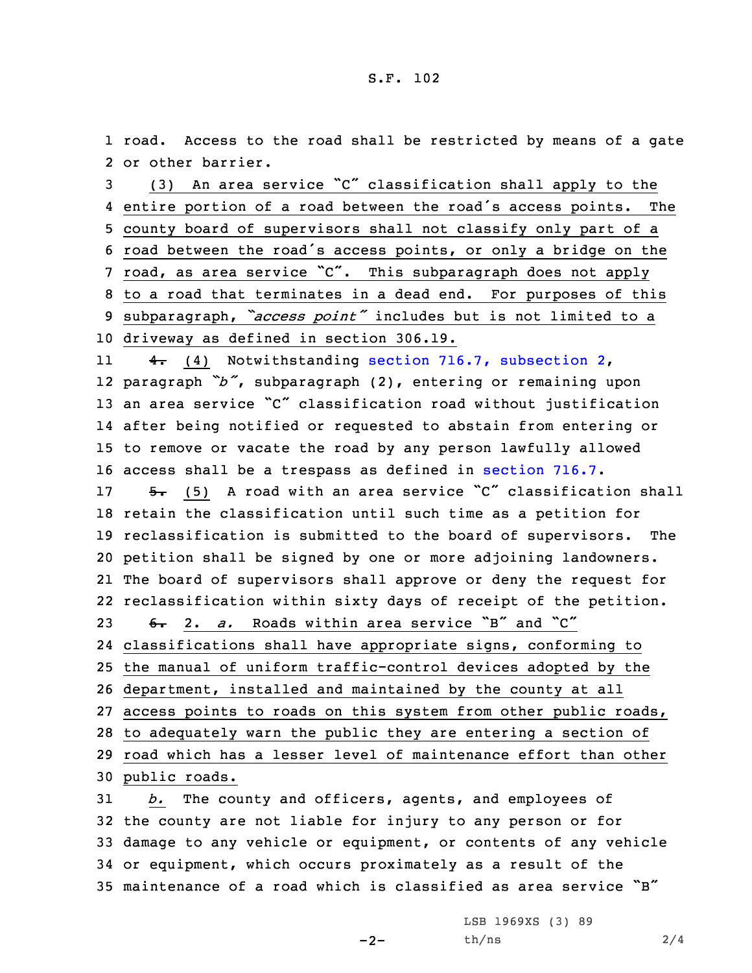1 road. Access to the road shall be restricted by means of <sup>a</sup> gate 2 or other barrier.

 (3) An area service "C" classification shall apply to the entire portion of <sup>a</sup> road between the road's access points. The county board of supervisors shall not classify only part of <sup>a</sup> road between the road's access points, or only <sup>a</sup> bridge on the road, as area service "C". This subparagraph does not apply to <sup>a</sup> road that terminates in <sup>a</sup> dead end. For purposes of this subparagraph, *"access point"* includes but is not limited to <sup>a</sup> driveway as defined in section 306.19.

11 4. (4) Notwithstanding section 716.7, [subsection](https://www.legis.iowa.gov/docs/code/2021/716.7.pdf) 2, paragraph *"b"*, subparagraph (2), entering or remaining upon an area service "C" classification road without justification after being notified or requested to abstain from entering or to remove or vacate the road by any person lawfully allowed access shall be <sup>a</sup> trespass as defined in [section](https://www.legis.iowa.gov/docs/code/2021/716.7.pdf) 716.7.

17 5. (5) A road with an area service "C" classification shall retain the classification until such time as <sup>a</sup> petition for reclassification is submitted to the board of supervisors. The petition shall be signed by one or more adjoining landowners. The board of supervisors shall approve or deny the request for reclassification within sixty days of receipt of the petition. 23 6. 2. a. Roads within area service "B" and "C"

 classifications shall have appropriate signs, conforming to the manual of uniform traffic-control devices adopted by the department, installed and maintained by the county at all access points to roads on this system from other public roads, to adequately warn the public they are entering <sup>a</sup> section of road which has <sup>a</sup> lesser level of maintenance effort than other public roads.

 *b.* The county and officers, agents, and employees of the county are not liable for injury to any person or for damage to any vehicle or equipment, or contents of any vehicle or equipment, which occurs proximately as <sup>a</sup> result of the maintenance of <sup>a</sup> road which is classified as area service "B"

 $-2-$ 

LSB 1969XS (3) 89 th/ns 2/4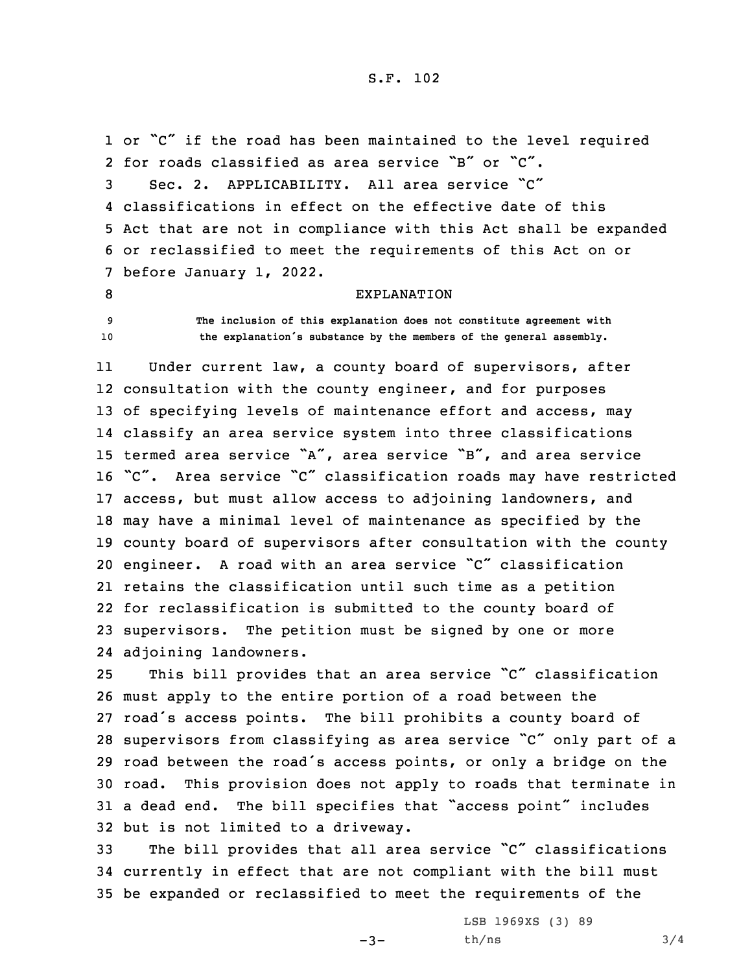1 or "C" if the road has been maintained to the level required for roads classified as area service "B" or "C". Sec. 2. APPLICABILITY. All area service "C" classifications in effect on the effective date of this Act that are not in compliance with this Act shall be expanded or reclassified to meet the requirements of this Act on or before January 1, 2022.

8 EXPLANATION

9 **The inclusion of this explanation does not constitute agreement with** <sup>10</sup> **the explanation's substance by the members of the general assembly.**

11 Under current law, <sup>a</sup> county board of supervisors, after consultation with the county engineer, and for purposes 13 of specifying levels of maintenance effort and access, may classify an area service system into three classifications termed area service "A", area service "B", and area service "C". Area service "C" classification roads may have restricted access, but must allow access to adjoining landowners, and may have <sup>a</sup> minimal level of maintenance as specified by the county board of supervisors after consultation with the county engineer. <sup>A</sup> road with an area service "C" classification retains the classification until such time as <sup>a</sup> petition for reclassification is submitted to the county board of supervisors. The petition must be signed by one or more adjoining landowners.

 This bill provides that an area service "C" classification must apply to the entire portion of <sup>a</sup> road between the road's access points. The bill prohibits <sup>a</sup> county board of supervisors from classifying as area service "C" only part of <sup>a</sup> road between the road's access points, or only <sup>a</sup> bridge on the road. This provision does not apply to roads that terminate in <sup>a</sup> dead end. The bill specifies that "access point" includes but is not limited to <sup>a</sup> driveway.

<sup>33</sup> The bill provides that all area service "C" classifications 34 currently in effect that are not compliant with the bill must 35 be expanded or reclassified to meet the requirements of the

 $-3-$ 

LSB 1969XS (3) 89  $th/ns$  3/4